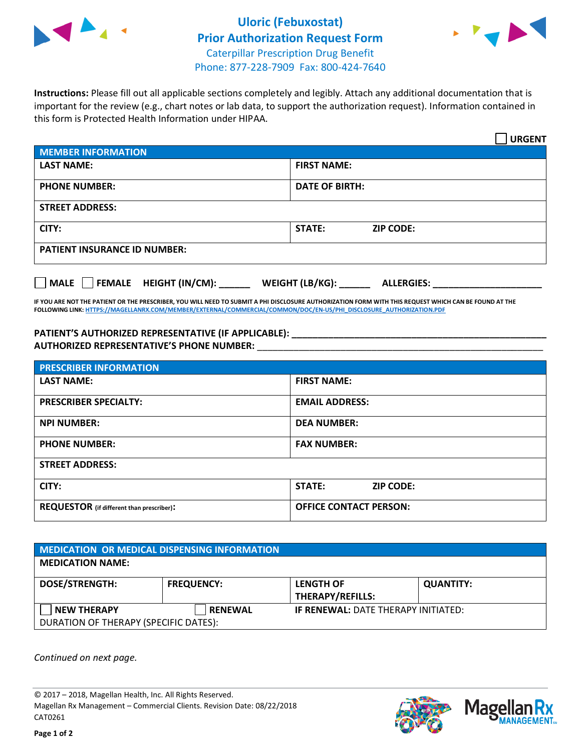



**Instructions:** Please fill out all applicable sections completely and legibly. Attach any additional documentation that is important for the review (e.g., chart notes or lab data, to support the authorization request). Information contained in this form is Protected Health Information under HIPAA.

|                                       | <b>URGENT</b>                        |  |  |  |
|---------------------------------------|--------------------------------------|--|--|--|
| <b>MEMBER INFORMATION</b>             |                                      |  |  |  |
| <b>LAST NAME:</b>                     | <b>FIRST NAME:</b>                   |  |  |  |
| <b>PHONE NUMBER:</b>                  | <b>DATE OF BIRTH:</b>                |  |  |  |
| <b>STREET ADDRESS:</b>                |                                      |  |  |  |
| CITY:                                 | <b>ZIP CODE:</b><br>STATE:           |  |  |  |
| <b>PATIENT INSURANCE ID NUMBER:</b>   |                                      |  |  |  |
| FEMALE HEIGHT (IN/CM):<br><b>MALE</b> | WEIGHT (LB/KG):<br><b>ALLERGIES:</b> |  |  |  |

**IF YOU ARE NOT THE PATIENT OR THE PRESCRIBER, YOU WILL NEED TO SUBMIT A PHI DISCLOSURE AUTHORIZATION FORM WITH THIS REQUEST WHICH CAN BE FOUND AT THE FOLLOWING LINK[: HTTPS://MAGELLANRX.COM/MEMBER/EXTERNAL/COMMERCIAL/COMMON/DOC/EN-US/PHI\\_DISCLOSURE\\_AUTHORIZATION.PDF](https://magellanrx.com/member/external/commercial/common/doc/en-us/PHI_Disclosure_Authorization.pdf)**

**PATIENT'S AUTHORIZED REPRESENTATIVE (IF APPLICABLE): \_\_\_\_\_\_\_\_\_\_\_\_\_\_\_\_\_\_\_\_\_\_\_\_\_\_\_\_\_\_\_\_\_\_\_\_\_\_\_\_\_\_\_\_\_\_\_\_\_ AUTHORIZED REPRESENTATIVE'S PHONE NUMBER:** \_\_\_\_\_\_\_\_\_\_\_\_\_\_\_\_\_\_\_\_\_\_\_\_\_\_\_\_\_\_\_\_\_\_\_\_\_\_\_\_\_\_\_\_\_\_\_\_\_\_\_\_\_\_\_

| <b>PRESCRIBER INFORMATION</b>             |                               |  |
|-------------------------------------------|-------------------------------|--|
| <b>LAST NAME:</b>                         | <b>FIRST NAME:</b>            |  |
| <b>PRESCRIBER SPECIALTY:</b>              | <b>EMAIL ADDRESS:</b>         |  |
| <b>NPI NUMBER:</b>                        | <b>DEA NUMBER:</b>            |  |
| <b>PHONE NUMBER:</b>                      | <b>FAX NUMBER:</b>            |  |
| <b>STREET ADDRESS:</b>                    |                               |  |
| CITY:                                     | STATE:<br><b>ZIP CODE:</b>    |  |
| REQUESTOR (if different than prescriber): | <b>OFFICE CONTACT PERSON:</b> |  |

| <b>MEDICATION OR MEDICAL DISPENSING INFORMATION</b> |                   |                                             |                  |  |  |
|-----------------------------------------------------|-------------------|---------------------------------------------|------------------|--|--|
| <b>MEDICATION NAME:</b>                             |                   |                                             |                  |  |  |
| <b>DOSE/STRENGTH:</b>                               | <b>FREQUENCY:</b> | <b>LENGTH OF</b><br><b>THERAPY/REFILLS:</b> | <b>QUANTITY:</b> |  |  |
| <b>NEW THERAPY</b>                                  | <b>RENEWAL</b>    | <b>IF RENEWAL: DATE THERAPY INITIATED:</b>  |                  |  |  |
| DURATION OF THERAPY (SPECIFIC DATES):               |                   |                                             |                  |  |  |

*Continued on next page.*

© 2017 – 2018, Magellan Health, Inc. All Rights Reserved. Magellan Rx Management – Commercial Clients. Revision Date: 08/22/2018 CAT0261